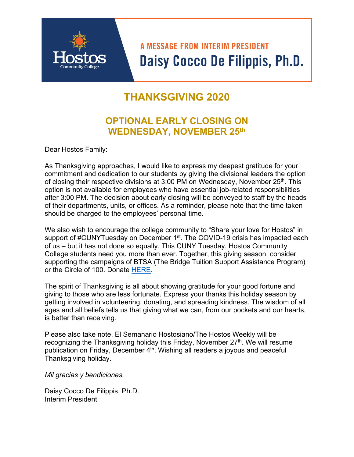# **A MESSAGE FROM INTERIM PRESIDENT** Daisy Cocco De Filippis, Ph.D.

## **THANKSGIVING 2020**

## **OPTIONAL EARLY CLOSING ON WEDNESDAY, NOVEMBER 25th**

Dear Hostos Family:

As Thanksgiving approaches, I would like to express my deepest gratitude for your commitment and dedication to our students by giving the divisional leaders the option of closing their respective divisions at 3:00 PM on Wednesday, November  $25<sup>th</sup>$ . This option is not available for employees who have essential job-related responsibilities after 3:00 PM. The decision about early closing will be conveyed to staff by the heads of their departments, units, or offices. As a reminder, please note that the time taken should be charged to the employees' personal time.

We also wish to encourage the college community to "Share your love for Hostos" in support of #CUNYTuesday on December 1<sup>st</sup>. The COVID-19 crisis has impacted each of us – but it has not done so equally. This CUNY Tuesday, Hostos Community College students need you more than ever. Together, this giving season, consider supporting the campaigns of BTSA (The Bridge Tuition Support Assistance Program) or the Circle of 100. Donate HERE.

The spirit of Thanksgiving is all about showing gratitude for your good fortune and giving to those who are less fortunate. Express your thanks this holiday season by getting involved in volunteering, donating, and spreading kindness. The wisdom of all ages and all beliefs tells us that giving what we can, from our pockets and our hearts, is better than receiving.

Please also take note, El Semanario Hostosiano/The Hostos Weekly will be recognizing the Thanksgiving holiday this Friday, November 27<sup>th</sup>. We will resume publication on Friday, December 4<sup>th</sup>. Wishing all readers a joyous and peaceful Thanksgiving holiday.

*Mil gracias y bendiciones,* 

Daisy Cocco De Filippis, Ph.D. Interim President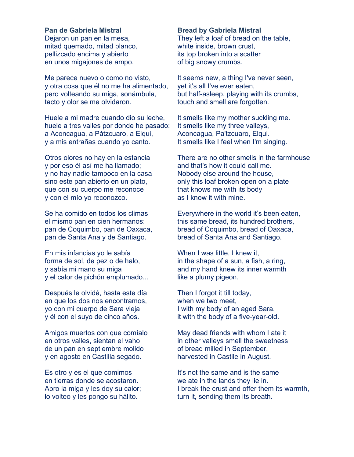### **Pan de Gabriela Mistral**

Dejaron un pan en la mesa, mitad quemado, mitad blanco, pellizcado encima y abierto en unos migajones de ampo.

Me parece nuevo o como no visto, y otra cosa que él no me ha alimentado, pero volteando su miga, sonámbula, tacto y olor se me olvidaron.

Huele a mi madre cuando dio su leche, huele a tres valles por donde he pasado: a Aconcagua, a Pátzcuaro, a Elqui, y a mis entrañas cuando yo canto.

Otros olores no hay en la estancia y por eso él así me ha llamado; y no hay nadie tampoco en la casa sino este pan abierto en un plato, que con su cuerpo me reconoce y con el mío yo reconozco.

Se ha comido en todos los climas el mismo pan en cien hermanos: pan de Coquimbo, pan de Oaxaca, pan de Santa Ana y de Santiago.

En mis infancias yo le sabía forma de sol, de pez o de halo, y sabía mi mano su miga y el calor de pichón emplumado...

Después le olvidé, hasta este día en que los dos nos encontramos, yo con mi cuerpo de Sara vieja y él con el suyo de cinco años.

Amigos muertos con que comíalo en otros valles, sientan el vaho de un pan en septiembre molido y en agosto en Castilla segado.

Es otro y es el que comimos en tierras donde se acostaron. Abro la miga y les doy su calor; lo volteo y les pongo su hálito.

#### **Bread by Gabriela Mistral**

They left a loaf of bread on the table, white inside, brown crust, its top broken into a scatter of big snowy crumbs.

It seems new, a thing I've never seen, yet it's all I've ever eaten, but half-asleep, playing with its crumbs, touch and smell are forgotten.

It smells like my mother suckling me. It smells like my three valleys, Aconcagua, Pa'tzcuaro, Elqui. It smells like I feel when I'm singing.

There are no other smells in the farmhouse and that's how it could call me. Nobody else around the house, only this loaf broken open on a plate that knows me with its body as I know it with mine.

Everywhere in the world it's been eaten, this same bread, its hundred brothers, bread of Coquimbo, bread of Oaxaca, bread of Santa Ana and Santiago.

When I was little, I knew it, in the shape of a sun, a fish, a ring, and my hand knew its inner warmth like a plumy pigeon.

Then I forgot it till today, when we two meet, I with my body of an aged Sara, it with the body of a five-year-old.

May dead friends with whom I ate it in other valleys smell the sweetness of bread milled in September, harvested in Castile in August.

It's not the same and is the same we ate in the lands they lie in. I break the crust and offer them its warmth, turn it, sending them its breath.